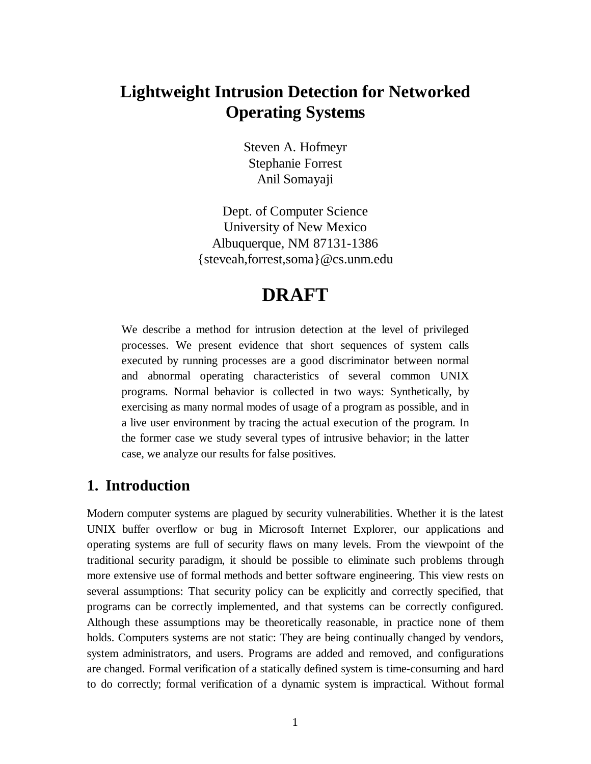# **Lightweight Intrusion Detection for Networked Operating Systems**

Steven A. Hofmeyr Stephanie Forrest Anil Somayaji

Dept. of Computer Science University of New Mexico Albuquerque, NM 87131-1386 {steveah,forrest,soma}@cs.unm.edu

# **DRAFT**

We describe a method for intrusion detection at the level of privileged processes. We present evidence that short sequences of system calls executed by running processes are a good discriminator between normal and abnormal operating characteristics of several common UNIX programs. Normal behavior is collected in two ways: Synthetically, by exercising as many normal modes of usage of a program as possible, and in a live user environment by tracing the actual execution of the program. In the former case we study several types of intrusive behavior; in the latter case, we analyze our results for false positives.

## **1. Introduction**

Modern computer systems are plagued by security vulnerabilities. Whether it is the latest UNIX buffer overflow or bug in Microsoft Internet Explorer, our applications and operating systems are full of security flaws on many levels. From the viewpoint of the traditional security paradigm, it should be possible to eliminate such problems through more extensive use of formal methods and better software engineering. This view rests on several assumptions: That security policy can be explicitly and correctly specified, that programs can be correctly implemented, and that systems can be correctly configured. Although these assumptions may be theoretically reasonable, in practice none of them holds. Computers systems are not static: They are being continually changed by vendors, system administrators, and users. Programs are added and removed, and configurations are changed. Formal verification of a statically defined system is time-consuming and hard to do correctly; formal verification of a dynamic system is impractical. Without formal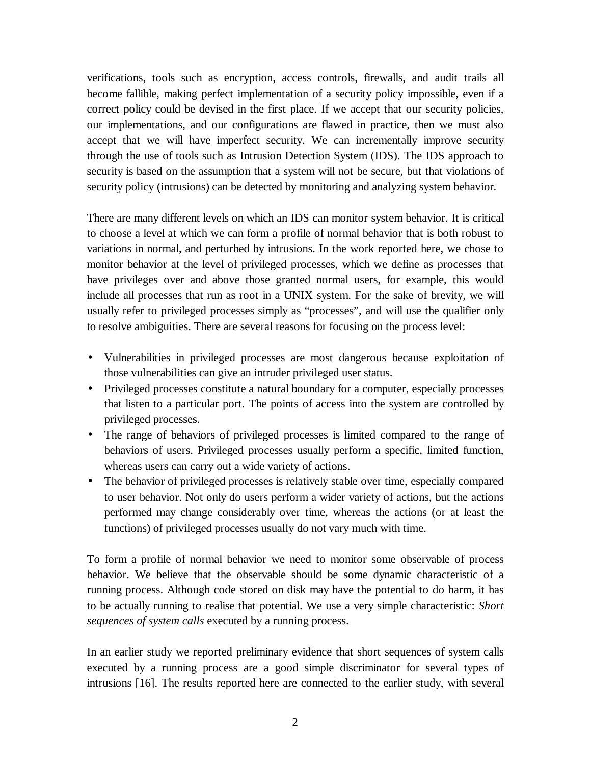verifications, tools such as encryption, access controls, firewalls, and audit trails all become fallible, making perfect implementation of a security policy impossible, even if a correct policy could be devised in the first place. If we accept that our security policies, our implementations, and our configurations are flawed in practice, then we must also accept that we will have imperfect security. We can incrementally improve security through the use of tools such as Intrusion Detection System (IDS). The IDS approach to security is based on the assumption that a system will not be secure, but that violations of security policy (intrusions) can be detected by monitoring and analyzing system behavior.

There are many different levels on which an IDS can monitor system behavior. It is critical to choose a level at which we can form a profile of normal behavior that is both robust to variations in normal, and perturbed by intrusions. In the work reported here, we chose to monitor behavior at the level of privileged processes, which we define as processes that have privileges over and above those granted normal users, for example, this would include all processes that run as root in a UNIX system. For the sake of brevity, we will usually refer to privileged processes simply as "processes", and will use the qualifier only to resolve ambiguities. There are several reasons for focusing on the process level:

- Vulnerabilities in privileged processes are most dangerous because exploitation of those vulnerabilities can give an intruder privileged user status.
- Privileged processes constitute a natural boundary for a computer, especially processes that listen to a particular port. The points of access into the system are controlled by privileged processes.
- The range of behaviors of privileged processes is limited compared to the range of behaviors of users. Privileged processes usually perform a specific, limited function, whereas users can carry out a wide variety of actions.
- The behavior of privileged processes is relatively stable over time, especially compared to user behavior. Not only do users perform a wider variety of actions, but the actions performed may change considerably over time, whereas the actions (or at least the functions) of privileged processes usually do not vary much with time.

To form a profile of normal behavior we need to monitor some observable of process behavior. We believe that the observable should be some dynamic characteristic of a running process. Although code stored on disk may have the potential to do harm, it has to be actually running to realise that potential. We use a very simple characteristic: *Short sequences of system calls* executed by a running process.

In an earlier study we reported preliminary evidence that short sequences of system calls executed by a running process are a good simple discriminator for several types of intrusions [16]. The results reported here are connected to the earlier study, with several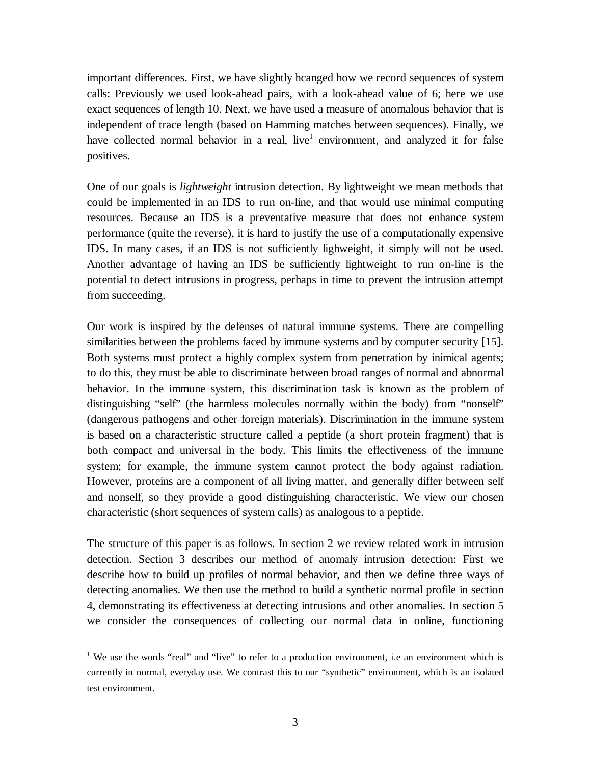important differences. First, we have slightly hcanged how we record sequences of system calls: Previously we used look-ahead pairs, with a look-ahead value of 6; here we use exact sequences of length 10. Next, we have used a measure of anomalous behavior that is independent of trace length (based on Hamming matches between sequences). Finally, we have collected normal behavior in a real, live<sup>1</sup> environment, and analyzed it for false positives.

One of our goals is *lightweight* intrusion detection. By lightweight we mean methods that could be implemented in an IDS to run on-line, and that would use minimal computing resources. Because an IDS is a preventative measure that does not enhance system performance (quite the reverse), it is hard to justify the use of a computationally expensive IDS. In many cases, if an IDS is not sufficiently lighweight, it simply will not be used. Another advantage of having an IDS be sufficiently lightweight to run on-line is the potential to detect intrusions in progress, perhaps in time to prevent the intrusion attempt from succeeding.

Our work is inspired by the defenses of natural immune systems. There are compelling similarities between the problems faced by immune systems and by computer security [15]. Both systems must protect a highly complex system from penetration by inimical agents; to do this, they must be able to discriminate between broad ranges of normal and abnormal behavior. In the immune system, this discrimination task is known as the problem of distinguishing "self" (the harmless molecules normally within the body) from "nonself" (dangerous pathogens and other foreign materials). Discrimination in the immune system is based on a characteristic structure called a peptide (a short protein fragment) that is both compact and universal in the body. This limits the effectiveness of the immune system; for example, the immune system cannot protect the body against radiation. However, proteins are a component of all living matter, and generally differ between self and nonself, so they provide a good distinguishing characteristic. We view our chosen characteristic (short sequences of system calls) as analogous to a peptide.

The structure of this paper is as follows. In section 2 we review related work in intrusion detection. Section 3 describes our method of anomaly intrusion detection: First we describe how to build up profiles of normal behavior, and then we define three ways of detecting anomalies. We then use the method to build a synthetic normal profile in section 4, demonstrating its effectiveness at detecting intrusions and other anomalies. In section 5 we consider the consequences of collecting our normal data in online, functioning

 $\overline{a}$ 

<sup>&</sup>lt;sup>1</sup> We use the words "real" and "live" to refer to a production environment, i.e an environment which is currently in normal, everyday use. We contrast this to our "synthetic" environment, which is an isolated test environment.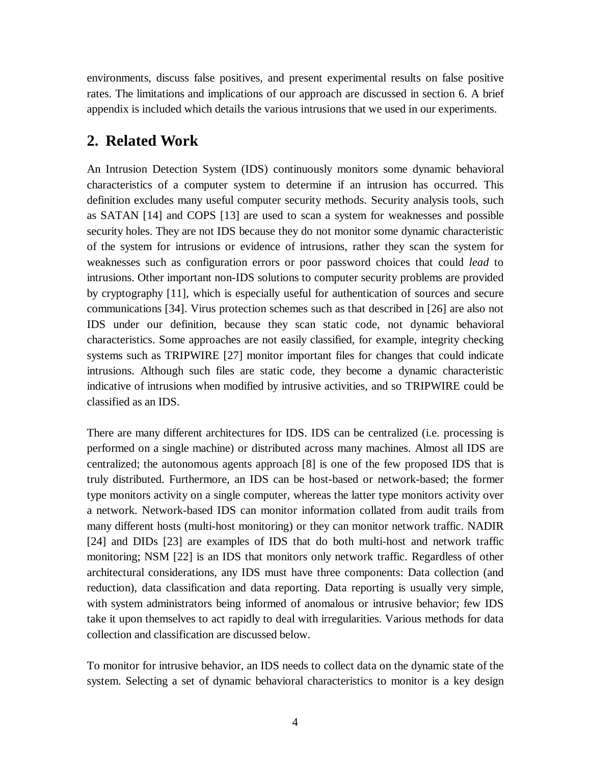environments, discuss false positives, and present experimental results on false positive rates. The limitations and implications of our approach are discussed in section 6. A brief appendix is included which details the various intrusions that we used in our experiments.

## **2. Related Work**

An Intrusion Detection System (IDS) continuously monitors some dynamic behavioral characteristics of a computer system to determine if an intrusion has occurred. This definition excludes many useful computer security methods. Security analysis tools, such as SATAN [14] and COPS [13] are used to scan a system for weaknesses and possible security holes. They are not IDS because they do not monitor some dynamic characteristic of the system for intrusions or evidence of intrusions, rather they scan the system for weaknesses such as configuration errors or poor password choices that could *lead* to intrusions. Other important non-IDS solutions to computer security problems are provided by cryptography [11], which is especially useful for authentication of sources and secure communications [34]. Virus protection schemes such as that described in [26] are also not IDS under our definition, because they scan static code, not dynamic behavioral characteristics. Some approaches are not easily classified, for example, integrity checking systems such as TRIPWIRE [27] monitor important files for changes that could indicate intrusions. Although such files are static code, they become a dynamic characteristic indicative of intrusions when modified by intrusive activities, and so TRIPWIRE could be classified as an IDS.

There are many different architectures for IDS. IDS can be centralized (i.e. processing is performed on a single machine) or distributed across many machines. Almost all IDS are centralized; the autonomous agents approach [8] is one of the few proposed IDS that is truly distributed. Furthermore, an IDS can be host-based or network-based; the former type monitors activity on a single computer, whereas the latter type monitors activity over a network. Network-based IDS can monitor information collated from audit trails from many different hosts (multi-host monitoring) or they can monitor network traffic. NADIR [24] and DIDs [23] are examples of IDS that do both multi-host and network traffic monitoring; NSM [22] is an IDS that monitors only network traffic. Regardless of other architectural considerations, any IDS must have three components: Data collection (and reduction), data classification and data reporting. Data reporting is usually very simple, with system administrators being informed of anomalous or intrusive behavior; few IDS take it upon themselves to act rapidly to deal with irregularities. Various methods for data collection and classification are discussed below.

To monitor for intrusive behavior, an IDS needs to collect data on the dynamic state of the system. Selecting a set of dynamic behavioral characteristics to monitor is a key design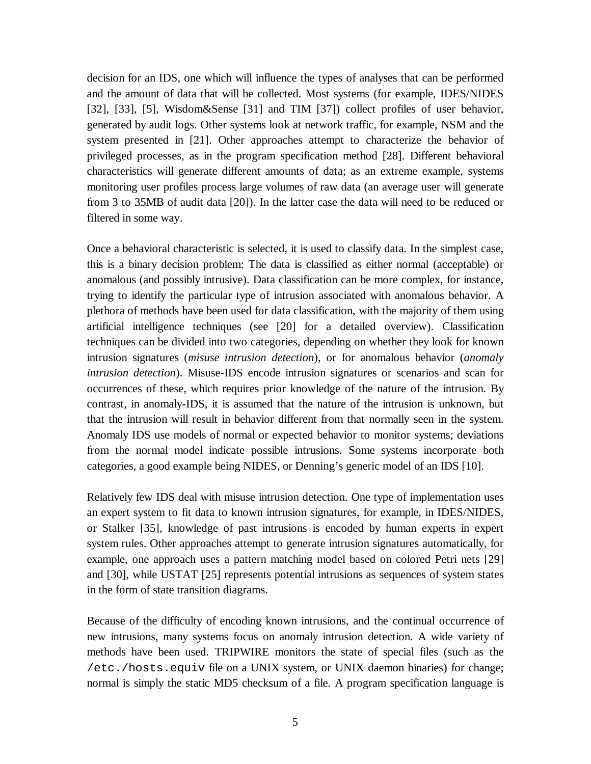decision for an IDS, one which will influence the types of analyses that can be performed and the amount of data that will be collected. Most systems (for example, IDES/NIDES [32], [33], [5], Wisdom&Sense [31] and TIM [37]) collect profiles of user behavior, generated by audit logs. Other systems look at network traffic, for example, NSM and the system presented in [21]. Other approaches attempt to characterize the behavior of privileged processes, as in the program specification method [28]. Different behavioral characteristics will generate different amounts of data; as an extreme example, systems monitoring user profiles process large volumes of raw data (an average user will generate from 3 to 35MB of audit data [20]). In the latter case the data will need to be reduced or filtered in some way.

Once a behavioral characteristic is selected, it is used to classify data. In the simplest case, this is a binary decision problem: The data is classified as either normal (acceptable) or anomalous (and possibly intrusive). Data classification can be more complex, for instance, trying to identify the particular type of intrusion associated with anomalous behavior. A plethora of methods have been used for data classification, with the majority of them using artificial intelligence techniques (see [20] for a detailed overview). Classification techniques can be divided into two categories, depending on whether they look for known intrusion signatures (*misuse intrusion detection*), or for anomalous behavior (*anomaly intrusion detection*). Misuse-IDS encode intrusion signatures or scenarios and scan for occurrences of these, which requires prior knowledge of the nature of the intrusion. By contrast, in anomaly-IDS, it is assumed that the nature of the intrusion is unknown, but that the intrusion will result in behavior different from that normally seen in the system. Anomaly IDS use models of normal or expected behavior to monitor systems; deviations from the normal model indicate possible intrusions. Some systems incorporate both categories, a good example being NIDES, or Denning's generic model of an IDS [10].

Relatively few IDS deal with misuse intrusion detection. One type of implementation uses an expert system to fit data to known intrusion signatures, for example, in IDES/NIDES, or Stalker [35], knowledge of past intrusions is encoded by human experts in expert system rules. Other approaches attempt to generate intrusion signatures automatically, for example, one approach uses a pattern matching model based on colored Petri nets [29] and [30], while USTAT [25] represents potential intrusions as sequences of system states in the form of state transition diagrams.

Because of the difficulty of encoding known intrusions, and the continual occurrence of new intrusions, many systems focus on anomaly intrusion detection. A wide variety of methods have been used. TRIPWIRE monitors the state of special files (such as the /etc./hosts.equiv file on a UNIX system, or UNIX daemon binaries) for change; normal is simply the static MD5 checksum of a file. A program specification language is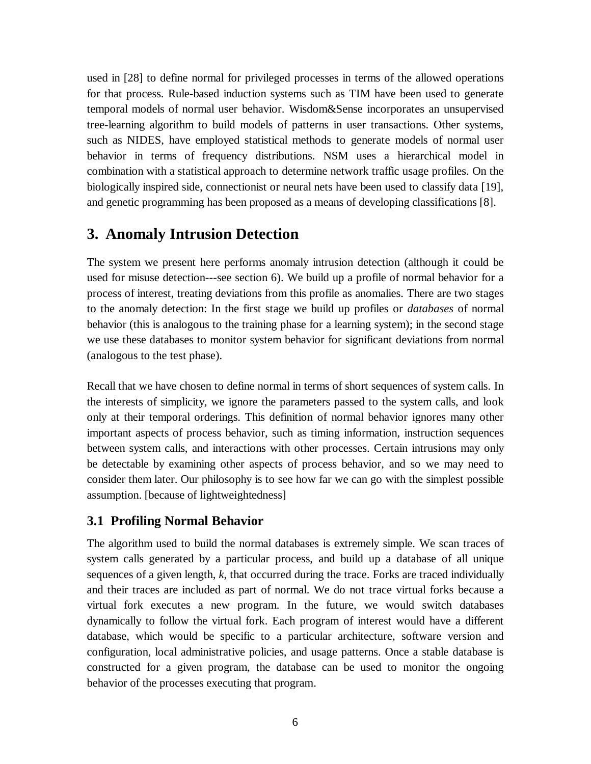used in [28] to define normal for privileged processes in terms of the allowed operations for that process. Rule-based induction systems such as TIM have been used to generate temporal models of normal user behavior. Wisdom&Sense incorporates an unsupervised tree-learning algorithm to build models of patterns in user transactions. Other systems, such as NIDES, have employed statistical methods to generate models of normal user behavior in terms of frequency distributions. NSM uses a hierarchical model in combination with a statistical approach to determine network traffic usage profiles. On the biologically inspired side, connectionist or neural nets have been used to classify data [19], and genetic programming has been proposed as a means of developing classifications [8].

## **3. Anomaly Intrusion Detection**

The system we present here performs anomaly intrusion detection (although it could be used for misuse detection---see section 6). We build up a profile of normal behavior for a process of interest, treating deviations from this profile as anomalies. There are two stages to the anomaly detection: In the first stage we build up profiles or *databases* of normal behavior (this is analogous to the training phase for a learning system); in the second stage we use these databases to monitor system behavior for significant deviations from normal (analogous to the test phase).

Recall that we have chosen to define normal in terms of short sequences of system calls. In the interests of simplicity, we ignore the parameters passed to the system calls, and look only at their temporal orderings. This definition of normal behavior ignores many other important aspects of process behavior, such as timing information, instruction sequences between system calls, and interactions with other processes. Certain intrusions may only be detectable by examining other aspects of process behavior, and so we may need to consider them later. Our philosophy is to see how far we can go with the simplest possible assumption. [because of lightweightedness]

### **3.1 Profiling Normal Behavior**

The algorithm used to build the normal databases is extremely simple. We scan traces of system calls generated by a particular process, and build up a database of all unique sequences of a given length, *k*, that occurred during the trace. Forks are traced individually and their traces are included as part of normal. We do not trace virtual forks because a virtual fork executes a new program. In the future, we would switch databases dynamically to follow the virtual fork. Each program of interest would have a different database, which would be specific to a particular architecture, software version and configuration, local administrative policies, and usage patterns. Once a stable database is constructed for a given program, the database can be used to monitor the ongoing behavior of the processes executing that program.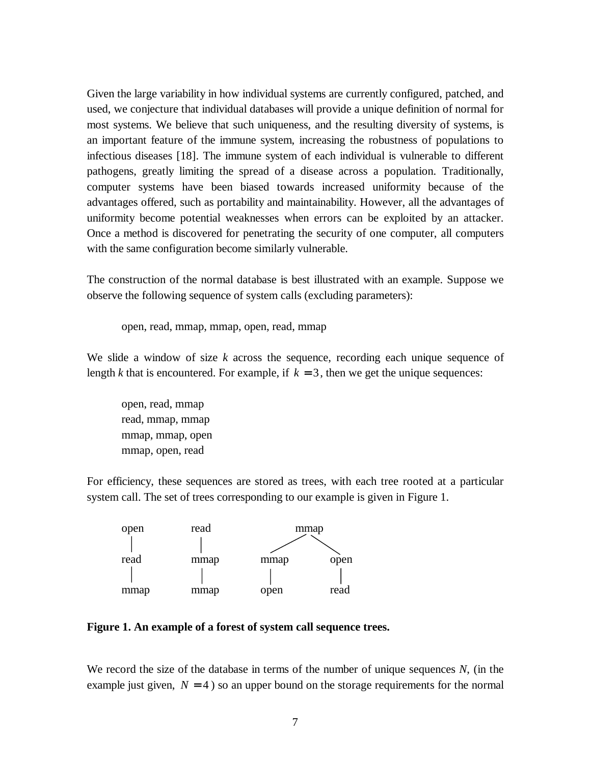Given the large variability in how individual systems are currently configured, patched, and used, we conjecture that individual databases will provide a unique definition of normal for most systems. We believe that such uniqueness, and the resulting diversity of systems, is an important feature of the immune system, increasing the robustness of populations to infectious diseases [18]. The immune system of each individual is vulnerable to different pathogens, greatly limiting the spread of a disease across a population. Traditionally, computer systems have been biased towards increased uniformity because of the advantages offered, such as portability and maintainability. However, all the advantages of uniformity become potential weaknesses when errors can be exploited by an attacker. Once a method is discovered for penetrating the security of one computer, all computers with the same configuration become similarly vulnerable.

The construction of the normal database is best illustrated with an example. Suppose we observe the following sequence of system calls (excluding parameters):

open, read, mmap, mmap, open, read, mmap

We slide a window of size *k* across the sequence, recording each unique sequence of length *k* that is encountered. For example, if  $k = 3$ , then we get the unique sequences:

open, read, mmap read, mmap, mmap mmap, mmap, open mmap, open, read

For efficiency, these sequences are stored as trees, with each tree rooted at a particular system call. The set of trees corresponding to our example is given in Figure 1.



**Figure 1. An example of a forest of system call sequence trees.**

We record the size of the database in terms of the number of unique sequences *N*, (in the example just given,  $N = 4$ ) so an upper bound on the storage requirements for the normal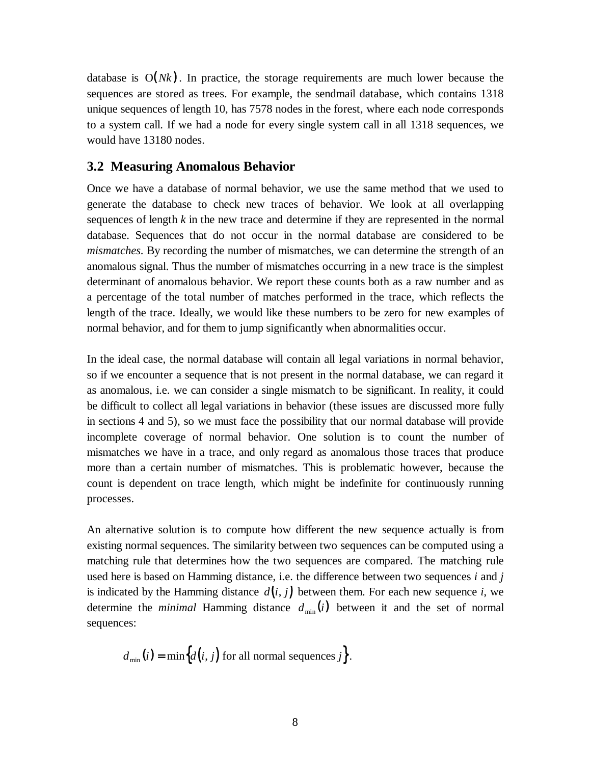database is  $O(Nk)$ . In practice, the storage requirements are much lower because the sequences are stored as trees. For example, the sendmail database, which contains 1318 unique sequences of length 10, has 7578 nodes in the forest, where each node corresponds to a system call. If we had a node for every single system call in all 1318 sequences, we would have 13180 nodes.

#### **3.2 Measuring Anomalous Behavior**

Once we have a database of normal behavior, we use the same method that we used to generate the database to check new traces of behavior. We look at all overlapping sequences of length *k* in the new trace and determine if they are represented in the normal database. Sequences that do not occur in the normal database are considered to be *mismatches*. By recording the number of mismatches, we can determine the strength of an anomalous signal. Thus the number of mismatches occurring in a new trace is the simplest determinant of anomalous behavior. We report these counts both as a raw number and as a percentage of the total number of matches performed in the trace, which reflects the length of the trace. Ideally, we would like these numbers to be zero for new examples of normal behavior, and for them to jump significantly when abnormalities occur.

In the ideal case, the normal database will contain all legal variations in normal behavior, so if we encounter a sequence that is not present in the normal database, we can regard it as anomalous, i.e. we can consider a single mismatch to be significant. In reality, it could be difficult to collect all legal variations in behavior (these issues are discussed more fully in sections 4 and 5), so we must face the possibility that our normal database will provide incomplete coverage of normal behavior. One solution is to count the number of mismatches we have in a trace, and only regard as anomalous those traces that produce more than a certain number of mismatches. This is problematic however, because the count is dependent on trace length, which might be indefinite for continuously running processes.

An alternative solution is to compute how different the new sequence actually is from existing normal sequences. The similarity between two sequences can be computed using a matching rule that determines how the two sequences are compared. The matching rule used here is based on Hamming distance, i.e. the difference between two sequences *i* and *j* is indicated by the Hamming distance  $d(i, j)$  between them. For each new sequence i, we determine the *minimal* Hamming distance  $d_{\min}(i)$  between it and the set of normal sequences:

$$
d_{\min}(i) = \min\bigl\{d(i, j) \text{ for all normal sequences } j\bigr\}.
$$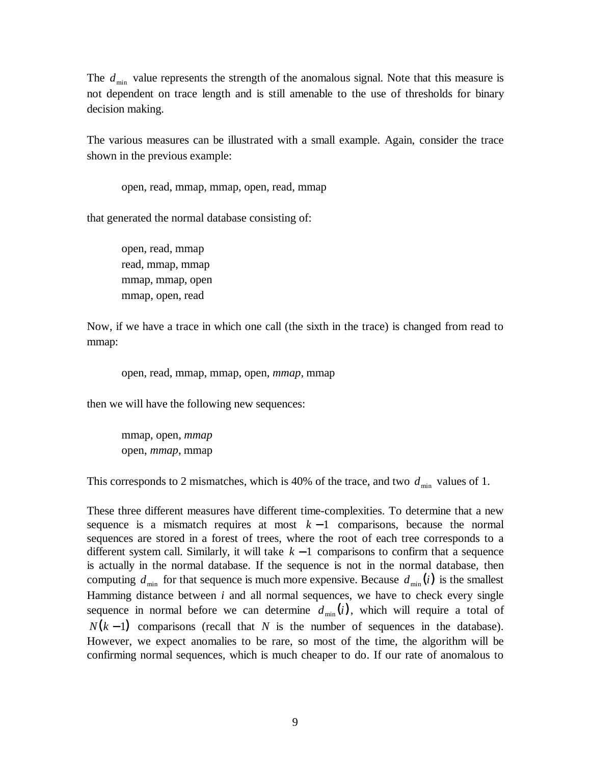The  $d_{\min}$  value represents the strength of the anomalous signal. Note that this measure is not dependent on trace length and is still amenable to the use of thresholds for binary decision making.

The various measures can be illustrated with a small example. Again, consider the trace shown in the previous example:

open, read, mmap, mmap, open, read, mmap

that generated the normal database consisting of:

open, read, mmap read, mmap, mmap mmap, mmap, open mmap, open, read

Now, if we have a trace in which one call (the sixth in the trace) is changed from read to mmap:

open, read, mmap, mmap, open, *mmap*, mmap

then we will have the following new sequences:

mmap, open, *mmap* open, *mmap*, mmap

This corresponds to 2 mismatches, which is 40% of the trace, and two  $d_{\min}$  values of 1.

These three different measures have different time-complexities. To determine that a new sequence is a mismatch requires at most  $k - 1$  comparisons, because the normal sequences are stored in a forest of trees, where the root of each tree corresponds to a different system call. Similarly, it will take *k* − 1 comparisons to confirm that a sequence is actually in the normal database. If the sequence is not in the normal database, then computing  $d_{\min}$  for that sequence is much more expensive. Because  $d_{\min}(i)$  is the smallest Hamming distance between *i* and all normal sequences, we have to check every single sequence in normal before we can determine  $d_{\min}(i)$ , which will require a total of  $N(k-1)$  comparisons (recall that N is the number of sequences in the database). However, we expect anomalies to be rare, so most of the time, the algorithm will be confirming normal sequences, which is much cheaper to do. If our rate of anomalous to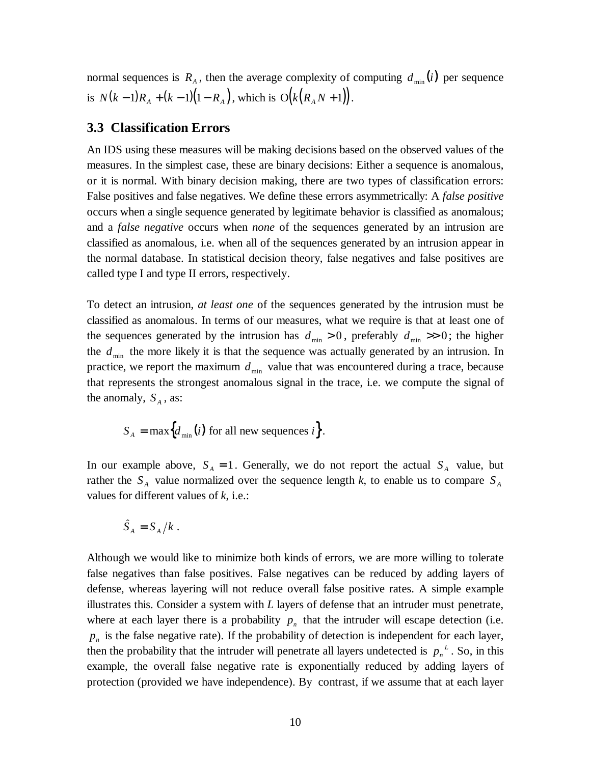normal sequences is  $R_A$ , then the average complexity of computing  $d_{\min}(i)$  per sequence is  $N(k-1)R_A + (k-1)(1 - R_A)$ , which is  $O(k(R_A N + 1))$ .

#### **3.3 Classification Errors**

An IDS using these measures will be making decisions based on the observed values of the measures. In the simplest case, these are binary decisions: Either a sequence is anomalous, or it is normal. With binary decision making, there are two types of classification errors: False positives and false negatives. We define these errors asymmetrically: A *false positive* occurs when a single sequence generated by legitimate behavior is classified as anomalous; and a *false negative* occurs when *none* of the sequences generated by an intrusion are classified as anomalous, i.e. when all of the sequences generated by an intrusion appear in the normal database. In statistical decision theory, false negatives and false positives are called type I and type II errors, respectively.

To detect an intrusion, *at least one* of the sequences generated by the intrusion must be classified as anomalous. In terms of our measures, what we require is that at least one of the sequences generated by the intrusion has  $d_{\min} > 0$ , preferably  $d_{\min} > 0$ ; the higher the  $d_{\min}$  the more likely it is that the sequence was actually generated by an intrusion. In practice, we report the maximum  $d_{\min}$  value that was encountered during a trace, because that represents the strongest anomalous signal in the trace, i.e. we compute the signal of the anomaly,  $S_A$ , as:

$$
S_A = \max\Bigl\{d_{\min}(i) \text{ for all new sequences } i\Bigr\}.
$$

In our example above,  $S_A = 1$ . Generally, we do not report the actual  $S_A$  value, but rather the  $S_A$  value normalized over the sequence length *k*, to enable us to compare  $S_A$ values for different values of *k*, i.e.:

$$
\hat{S}_A = S_A / k \; .
$$

Although we would like to minimize both kinds of errors, we are more willing to tolerate false negatives than false positives. False negatives can be reduced by adding layers of defense, whereas layering will not reduce overall false positive rates. A simple example illustrates this. Consider a system with *L* layers of defense that an intruder must penetrate, where at each layer there is a probability  $p_n$  that the intruder will escape detection (i.e.  $p<sub>n</sub>$  is the false negative rate). If the probability of detection is independent for each layer, then the probability that the intruder will penetrate all layers undetected is  $p_n^L$ . So, in this example, the overall false negative rate is exponentially reduced by adding layers of protection (provided we have independence). By contrast, if we assume that at each layer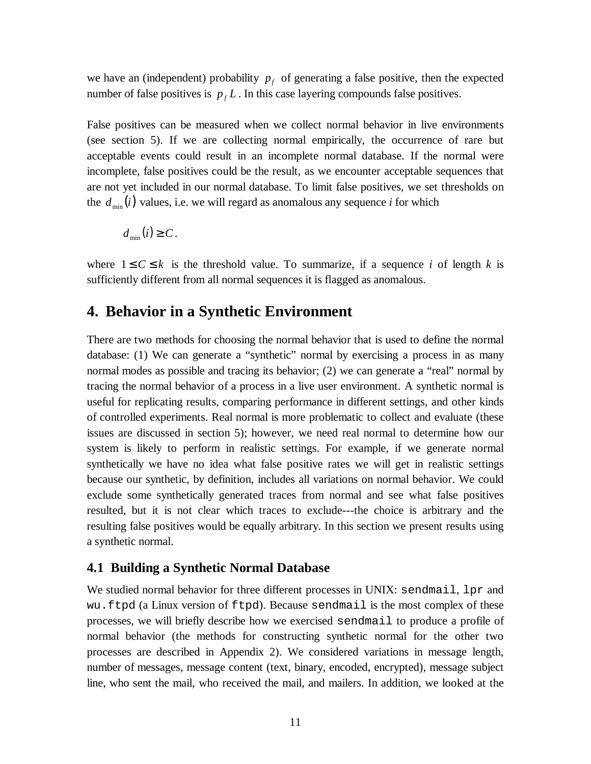we have an (independent) probability  $p_f$  of generating a false positive, then the expected number of false positives is  $p_f L$ . In this case layering compounds false positives.

False positives can be measured when we collect normal behavior in live environments (see section 5). If we are collecting normal empirically, the occurrence of rare but acceptable events could result in an incomplete normal database. If the normal were incomplete, false positives could be the result, as we encounter acceptable sequences that are not yet included in our normal database. To limit false positives, we set thresholds on the  $d_{\min}(i)$  values, i.e. we will regard as anomalous any sequence *i* for which

$$
d_{\min}(i) \geq C.
$$

where  $1 \leq C \leq k$  is the threshold value. To summarize, if a sequence *i* of length *k* is sufficiently different from all normal sequences it is flagged as anomalous.

### **4. Behavior in a Synthetic Environment**

There are two methods for choosing the normal behavior that is used to define the normal database: (1) We can generate a "synthetic" normal by exercising a process in as many normal modes as possible and tracing its behavior; (2) we can generate a "real" normal by tracing the normal behavior of a process in a live user environment. A synthetic normal is useful for replicating results, comparing performance in different settings, and other kinds of controlled experiments. Real normal is more problematic to collect and evaluate (these issues are discussed in section 5); however, we need real normal to determine how our system is likely to perform in realistic settings. For example, if we generate normal synthetically we have no idea what false positive rates we will get in realistic settings because our synthetic, by definition, includes all variations on normal behavior. We could exclude some synthetically generated traces from normal and see what false positives resulted, but it is not clear which traces to exclude---the choice is arbitrary and the resulting false positives would be equally arbitrary. In this section we present results using a synthetic normal.

#### **4.1 Building a Synthetic Normal Database**

We studied normal behavior for three different processes in UNIX: sendmail, lpr and wu.ftpd (a Linux version of ftpd). Because sendmail is the most complex of these processes, we will briefly describe how we exercised sendmail to produce a profile of normal behavior (the methods for constructing synthetic normal for the other two processes are described in Appendix 2). We considered variations in message length, number of messages, message content (text, binary, encoded, encrypted), message subject line, who sent the mail, who received the mail, and mailers. In addition, we looked at the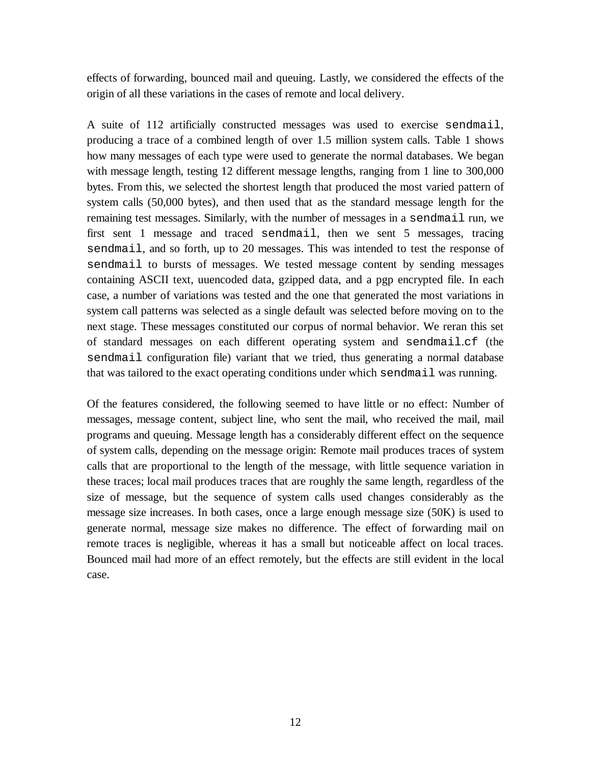effects of forwarding, bounced mail and queuing. Lastly, we considered the effects of the origin of all these variations in the cases of remote and local delivery.

A suite of 112 artificially constructed messages was used to exercise sendmail, producing a trace of a combined length of over 1.5 million system calls. Table 1 shows how many messages of each type were used to generate the normal databases. We began with message length, testing 12 different message lengths, ranging from 1 line to 300,000 bytes. From this, we selected the shortest length that produced the most varied pattern of system calls (50,000 bytes), and then used that as the standard message length for the remaining test messages. Similarly, with the number of messages in a sendmail run, we first sent 1 message and traced sendmail, then we sent 5 messages, tracing sendmail, and so forth, up to 20 messages. This was intended to test the response of sendmail to bursts of messages. We tested message content by sending messages containing ASCII text, uuencoded data, gzipped data, and a pgp encrypted file. In each case, a number of variations was tested and the one that generated the most variations in system call patterns was selected as a single default was selected before moving on to the next stage. These messages constituted our corpus of normal behavior. We reran this set of standard messages on each different operating system and sendmail.cf (the sendmail configuration file) variant that we tried, thus generating a normal database that was tailored to the exact operating conditions under which sendmail was running.

Of the features considered, the following seemed to have little or no effect: Number of messages, message content, subject line, who sent the mail, who received the mail, mail programs and queuing. Message length has a considerably different effect on the sequence of system calls, depending on the message origin: Remote mail produces traces of system calls that are proportional to the length of the message, with little sequence variation in these traces; local mail produces traces that are roughly the same length, regardless of the size of message, but the sequence of system calls used changes considerably as the message size increases. In both cases, once a large enough message size (50K) is used to generate normal, message size makes no difference. The effect of forwarding mail on remote traces is negligible, whereas it has a small but noticeable affect on local traces. Bounced mail had more of an effect remotely, but the effects are still evident in the local case.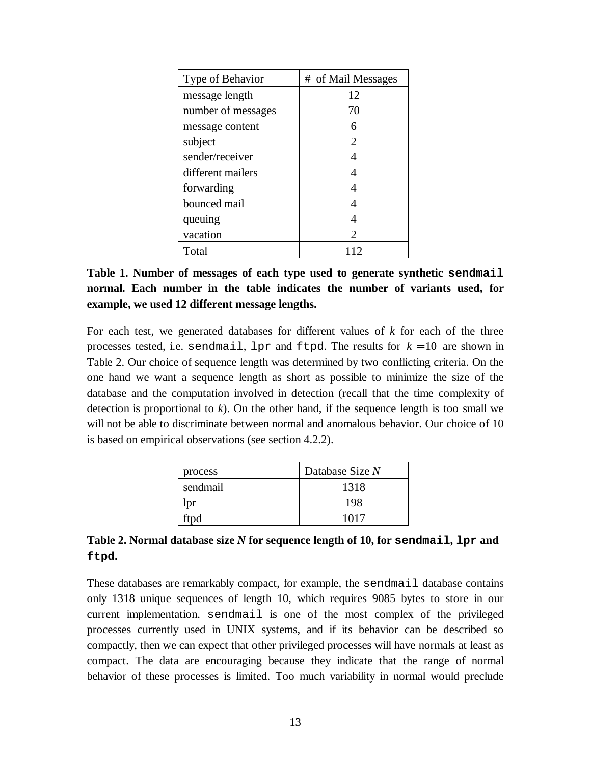| Type of Behavior   | # of Mail Messages          |
|--------------------|-----------------------------|
| message length     | 12                          |
| number of messages | 70                          |
| message content    |                             |
| subject            | $\mathcal{D}_{\mathcal{A}}$ |
| sender/receiver    |                             |
| different mailers  |                             |
| forwarding         |                             |
| bounced mail       |                             |
| queuing            |                             |
| vacation           | 2                           |
| Total              |                             |

**Table 1. Number of messages of each type used to generate synthetic sendmail normal. Each number in the table indicates the number of variants used, for example, we used 12 different message lengths.**

For each test, we generated databases for different values of *k* for each of the three processes tested, i.e. sendmail,  $1pr$  and  $ftpd$ . The results for  $k = 10$  are shown in Table 2. Our choice of sequence length was determined by two conflicting criteria. On the one hand we want a sequence length as short as possible to minimize the size of the database and the computation involved in detection (recall that the time complexity of detection is proportional to *k*). On the other hand, if the sequence length is too small we will not be able to discriminate between normal and anomalous behavior. Our choice of 10 is based on empirical observations (see section 4.2.2).

| process  | Database Size N |
|----------|-----------------|
| sendmail | 1318            |
| lpr      | 198             |
| ftpd     | 1017            |

### **Table 2. Normal database size** *N* **for sequence length of 10, for sendmail, lpr and ftpd.**

These databases are remarkably compact, for example, the sendmail database contains only 1318 unique sequences of length 10, which requires 9085 bytes to store in our current implementation. sendmail is one of the most complex of the privileged processes currently used in UNIX systems, and if its behavior can be described so compactly, then we can expect that other privileged processes will have normals at least as compact. The data are encouraging because they indicate that the range of normal behavior of these processes is limited. Too much variability in normal would preclude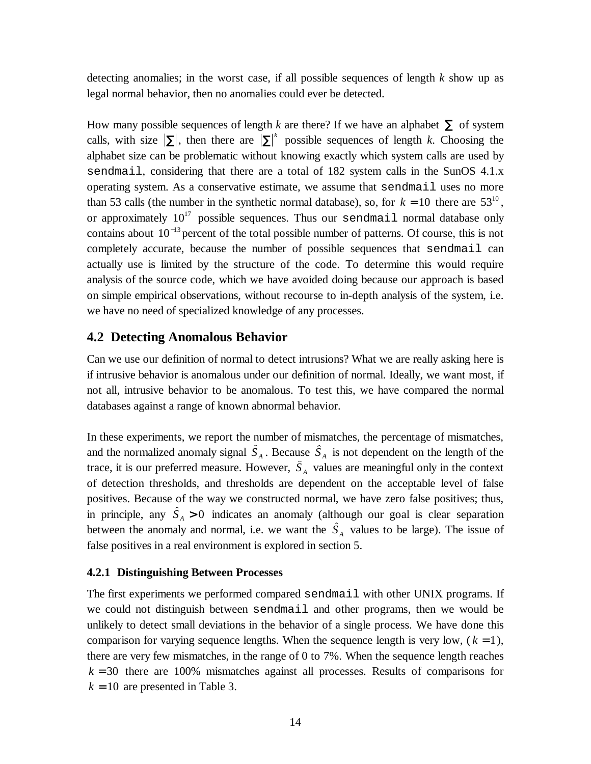detecting anomalies; in the worst case, if all possible sequences of length *k* show up as legal normal behavior, then no anomalies could ever be detected.

How many possible sequences of length *k* are there? If we have an alphabet  $\Sigma$  of system calls, with size  $|\Sigma|$ , then there are  $|\Sigma|^k$  possible sequences of length k. Choosing the alphabet size can be problematic without knowing exactly which system calls are used by sendmail, considering that there are a total of 182 system calls in the SunOS 4.1.x operating system. As a conservative estimate, we assume that sendmail uses no more than 53 calls (the number in the synthetic normal database), so, for  $k = 10$  there are 53<sup>10</sup>, or approximately  $10^{17}$  possible sequences. Thus our sendmail normal database only contains about 10<sup>−</sup><sup>13</sup> percent of the total possible number of patterns. Of course, this is not completely accurate, because the number of possible sequences that sendmail can actually use is limited by the structure of the code. To determine this would require analysis of the source code, which we have avoided doing because our approach is based on simple empirical observations, without recourse to in-depth analysis of the system, i.e. we have no need of specialized knowledge of any processes.

#### **4.2 Detecting Anomalous Behavior**

Can we use our definition of normal to detect intrusions? What we are really asking here is if intrusive behavior is anomalous under our definition of normal. Ideally, we want most, if not all, intrusive behavior to be anomalous. To test this, we have compared the normal databases against a range of known abnormal behavior.

In these experiments, we report the number of mismatches, the percentage of mismatches, databases against a range of known abnormal behavior.<br>In these experiments, we report the number of mismatches, the percentage of mismatches, and the normalized anomaly signal  $\hat{S}_A$ . Because  $\hat{S}_A$  is not dependent o In these experiments, we report the number of and the normalized anomaly signal  $\hat{S}_A$ . Becaustrace, it is our preferred measure. However,  $\hat{S}$ trace, it is our preferred measure. However,  $S_A$  values are meaningful only in the context of detection thresholds, and thresholds are dependent on the acceptable level of false positives. Because of the way we constructed normal, we have zero false positives; thus, trace, it is our preterred measure. However,  $S_A$  values are meaningful only in the context<br>of detection thresholds, and thresholds are dependent on the acceptable level of false<br>positives. Because of the way we construct of detection thresholds, and thresholds are dependent on the acceptable level of talse<br>positives. Because of the way we constructed normal, we have zero false positives; thus,<br>in principle, any  $\hat{S}_A > 0$  indicates an an false positives in a real environment is explored in section 5.

#### **4.2.1 Distinguishing Between Processes**

The first experiments we performed compared sendmail with other UNIX programs. If we could not distinguish between sendmail and other programs, then we would be unlikely to detect small deviations in the behavior of a single process. We have done this comparison for varying sequence lengths. When the sequence length is very low,  $(k = 1)$ , there are very few mismatches, in the range of 0 to 7%. When the sequence length reaches  $k = 30$  there are 100% mismatches against all processes. Results of comparisons for  $k = 10$  are presented in Table 3.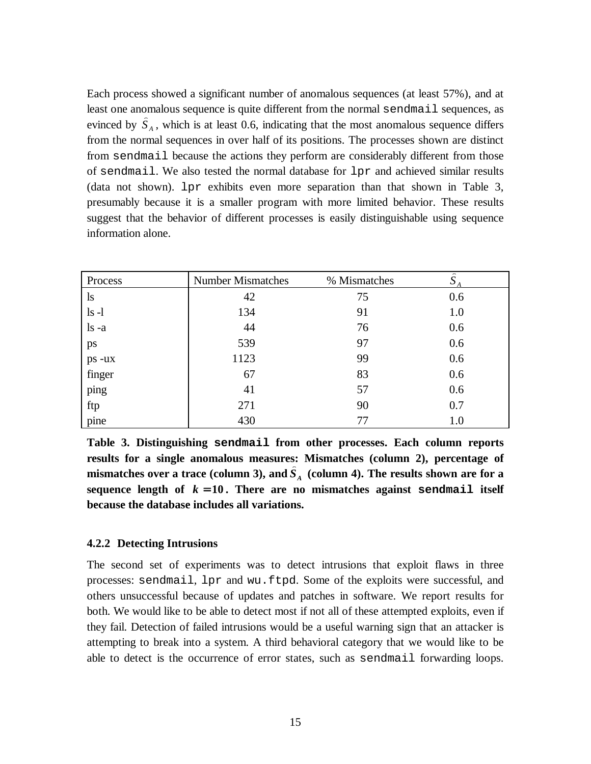Each process showed a significant number of anomalous sequences (at least 57%), and at least one anomalous sequence is quite different from the normal sendmail sequences, as Each process showed a significant number of anomalous sequences (at least 57%), and at least one anomalous sequence is quite different from the normal sendmail sequences, as evinced by  $\hat{S}_A$ , which is at least 0.6, ind from the normal sequences in over half of its positions. The processes shown are distinct from sendmail because the actions they perform are considerably different from those of sendmail. We also tested the normal database for lpr and achieved similar results (data not shown). lpr exhibits even more separation than that shown in Table 3, presumably because it is a smaller program with more limited behavior. These results suggest that the behavior of different processes is easily distinguishable using sequence information alone.

| information alone. |                          |              |                          |
|--------------------|--------------------------|--------------|--------------------------|
|                    |                          |              |                          |
|                    |                          |              |                          |
| Process            | <b>Number Mismatches</b> | % Mismatches | $\hat{\phantom{a}}$<br>S |
| $\lg$              | 42                       | 75           | 0.6                      |
| $ls -l$            | 134                      | 91           | 1.0                      |
| $ls -a$            | 44                       | 76           | 0.6                      |
| ps                 | 539                      | 97           | 0.6                      |
| ps -ux             | 1123                     | 99           | 0.6                      |
| finger             | 67                       | 83           | 0.6                      |
| ping               | 41                       | 57           | 0.6                      |
| ftp                | 271                      | 90           | 0.7                      |
| pine               | 430                      | 77           | 1.0                      |

**Table 3. Distinguishing sendmail from other processes. Each column reports results for a single anomalous measures: Mismatches (column 2), percentage of** Table 3. Distinguishing sendmail from other processes. Each column reports results for a single anomalous measures: Mismatches (column 2), percentage of mismatches over a trace (column 3), and  $\hat{S}_A$  (column 4). The res **sequence length of**  $k = 10$ **. There are no mismatches against sendmail itself because the database includes all variations.**

#### **4.2.2 Detecting Intrusions**

The second set of experiments was to detect intrusions that exploit flaws in three processes: sendmail, lpr and wu.ftpd. Some of the exploits were successful, and others unsuccessful because of updates and patches in software. We report results for both. We would like to be able to detect most if not all of these attempted exploits, even if they fail. Detection of failed intrusions would be a useful warning sign that an attacker is attempting to break into a system. A third behavioral category that we would like to be able to detect is the occurrence of error states, such as sendmail forwarding loops.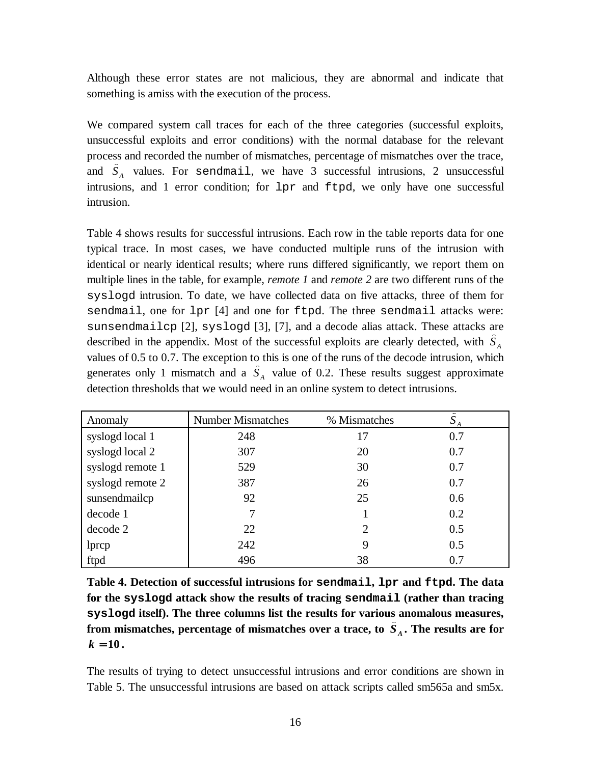Although these error states are not malicious, they are abnormal and indicate that something is amiss with the execution of the process.

We compared system call traces for each of the three categories (successful exploits, unsuccessful exploits and error conditions) with the normal database for the relevant process and recorded the number of mismatches, percentage of mismatches over the trace, We compared system call traces for each of the three categories (successful exploits, unsuccessful exploits and error conditions) with the normal database for the relevant process and recorded the number of mismatches, pe intrusions, and 1 error condition; for lpr and ftpd, we only have one successful intrusion.

Table 4 shows results for successful intrusions. Each row in the table reports data for one typical trace. In most cases, we have conducted multiple runs of the intrusion with identical or nearly identical results; where runs differed significantly, we report them on multiple lines in the table, for example, *remote 1* and *remote 2* are two different runs of the syslogd intrusion. To date, we have collected data on five attacks, three of them for sendmail, one for lpr [4] and one for ftpd. The three sendmail attacks were: sunsendmailcp [2], syslogd [3], [7], and a decode alias attack. These attacks are syslogd intrusion. To date, we have collected data on five attacks, three of them for sendmail, one for  $1pr$  [4] and one for  $1tpd$ . The three sendmail attacks were sunsendmail  $cp$  [2], syslogd [3], [7], and a decode alias values of 0.5 to 0.7. The exception to this is one of the runs of the decode intrusion, which sunsendmaildep [2], syslogd [1]<br>described in the appendix. Most of t<br>values of 0.5 to 0.7. The exception to<br>generates only 1 mismatch and a  $\hat{S}$ generates only 1 mismatch and a  $\hat{S}_A$  value of 0.2. These results suggest approximate detection thresholds that we would need in an online system to detect intrusions. generates only 1 mismatch and a  $S_A$  value of 0.2. These results suggest ap<br>detection thresholds that we would need in an online system to detect intrusions.<br>Anomaly Number Mismatches % Mismatches  $\hat{S}$ 

| Anomaly          | <b>Number Mismatches</b> | % Mismatches | $\sim$<br>ى |
|------------------|--------------------------|--------------|-------------|
| syslogd local 1  | 248                      | 17           | 0.7         |
| syslogd local 2  | 307                      | 20           | 0.7         |
| syslogd remote 1 | 529                      | 30           | 0.7         |
| syslogd remote 2 | 387                      | 26           | 0.7         |
| sunsendmailcp    | 92                       | 25           | 0.6         |
| decode 1         |                          |              | 0.2         |
| decode 2         | 22                       | 2            | 0.5         |
| lprcp            | 242                      | 9            | 0.5         |
| ftpd             | 496                      | 38           | 0.7         |

**Table 4. Detection of successful intrusions for sendmail, lpr and ftpd. The data for the syslogd attack show the results of tracing sendmail (rather than tracing syslogd itself). The three columns list the results for various anomalous measures,** Table 4. Detection of successful intrusions for sendmail, lpr and ttpd. The data<br>for the syslogd attack show the results of tracing sendmail (rather than tracing<br>syslogd itself). The three columns list the results for var  $k = 10$ .

The results of trying to detect unsuccessful intrusions and error conditions are shown in Table 5. The unsuccessful intrusions are based on attack scripts called sm565a and sm5x.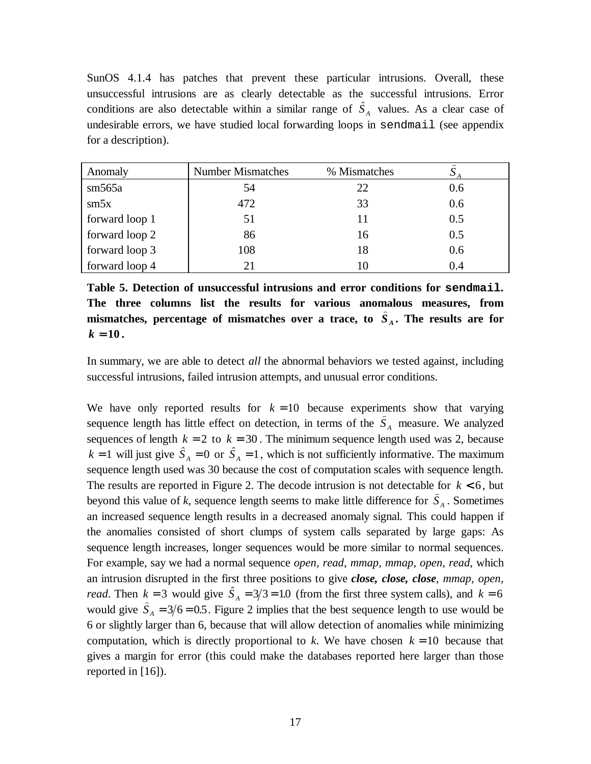SunOS 4.1.4 has patches that prevent these particular intrusions. Overall, these unsuccessful intrusions are as clearly detectable as the successful intrusions. Error SunOS 4.1.4 has patches that prevent these particular intrusions. Overall, these unsuccessful intrusions are as clearly detectable as the successful intrusions. Error conditions are also detectable within a similar range undesirable errors, we have studied local forwarding loops in sendmail (see appendix<br>for a description).<br>Anomaly Number Mismatches % Mismatches  $\hat{S}_A$ for a description).

| Anomaly        | <b>Number Mismatches</b> | % Mismatches | $\sim$ |
|----------------|--------------------------|--------------|--------|
| sm565a         | 54                       | 22           | 0.6    |
| sm5x           | 472                      | 33           | 0.6    |
| forward loop 1 | 51                       |              | 0.5    |
| forward loop 2 | 86                       | 16           | 0.5    |
| forward loop 3 | 108                      | 18           | 0.6    |
| forward loop 4 |                          |              | 0.4    |

**Table 5. Detection of unsuccessful intrusions and error conditions for sendmail. The three columns list the results for various anomalous measures, from** Table 5. Detection of unsuccessful intrusions and error conditions for sendmail.<br>The three columns list the results for various anomalous measures, from<br>mismatches, percentage of mismatches over a trace, to  $\hat{S}_A$ . The  $k = 10$ .

In summary, we are able to detect *all* the abnormal behaviors we tested against, including successful intrusions, failed intrusion attempts, and unusual error conditions.

We have only reported results for  $k = 10$  because experiments show that varying successful intrusions, failed intrusion attempts, and unusual error conditions.<br>We have only reported results for  $k = 10$  because experiments show that varying<br>sequence length has little effect on detection, in terms of t sequences of length  $k = 2$  to  $k = 30$ . The minimum sequence length used was 2, because We have only reported results for  $k = 10$  because experiments show that varying sequence length has little effect on detection, in terms of the  $\hat{S}_A$  measure. We analyzed sequences of length  $k = 2$  to  $k = 30$ . The mini sequence length used was 30 because the cost of computation scales with sequence length. The results are reported in Figure 2. The decode intrusion is not detectable for  $k < 6$ , but  $k = 1$  will just give  $S_A = 0$  or  $S_A = 1$ , which is not sufficiently informative. The maximum sequence length used was 30 because the cost of computation scales with sequence length. The results are reported in Figure 2. T an increased sequence length results in a decreased anomaly signal. This could happen if the anomalies consisted of short clumps of system calls separated by large gaps: As sequence length increases, longer sequences would be more similar to normal sequences. For example, say we had a normal sequence *open, read, mmap, mmap, open, read*, which an intrusion disrupted in the first three positions to give *close, close, close, mmap, open,* sequence length increases, longer sequences would be more similar to normal sequences.<br>For example, say we had a normal sequence *open*, *read*, *mmap*, *nmap*, *open*, *read*, which<br>an intrusion disrupted in the first th For example, say we had a normal sequence *open, read, mmap, mmap, open, read*, which<br>an intrusion disrupted in the first three positions to give *close, close, close, mmap, open,*<br>*read*. Then  $k = 3$  would give  $\hat{S}_A =$ 6 or slightly larger than 6, because that will allow detection of anomalies while minimizing computation, which is directly proportional to *k*. We have chosen  $k = 10$  because that gives a margin for error (this could make the databases reported here larger than those reported in [16]).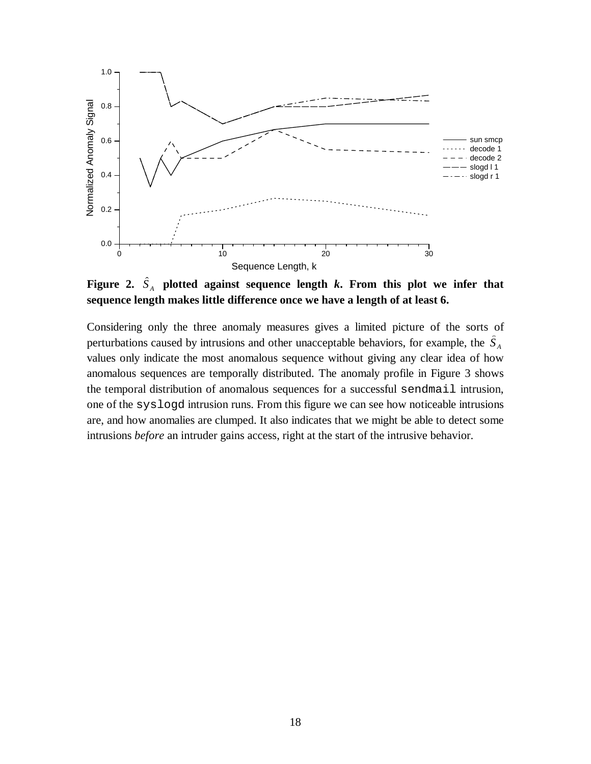

**sequence length makes little difference once we have a length of at least 6.**

Considering only the three anomaly measures gives a limited picture of the sorts of **sequence length makes little difference once we have a length of at least 6.**<br>Considering only the three anomaly measures gives a limited picture of the sorts of<br>perturbations caused by intrusions and other unacceptable values only indicate the most anomalous sequence without giving any clear idea of how anomalous sequences are temporally distributed. The anomaly profile in Figure 3 shows the temporal distribution of anomalous sequences for a successful sendmail intrusion, one of the syslogd intrusion runs. From this figure we can see how noticeable intrusions are, and how anomalies are clumped. It also indicates that we might be able to detect some intrusions *before* an intruder gains access, right at the start of the intrusive behavior.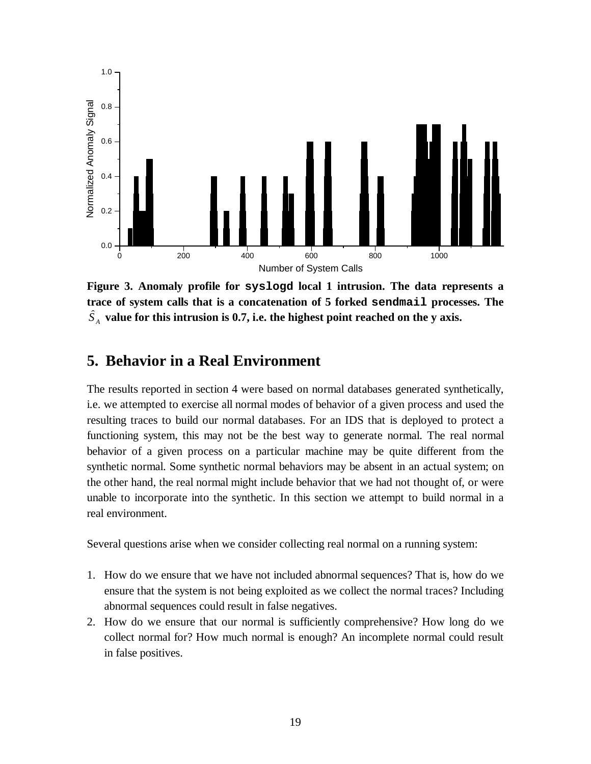

**Figure 3. Anomaly profile for syslogd local 1 intrusion. The data represents a trace of system calls that is a concatenation of 5 forked sendmail processes. The** *S <sup>A</sup>* **value for this intrusion is 0.7, i.e. the highest point reached on the y axis.**

### **5. Behavior in a Real Environment**

The results reported in section 4 were based on normal databases generated synthetically, i.e. we attempted to exercise all normal modes of behavior of a given process and used the resulting traces to build our normal databases. For an IDS that is deployed to protect a functioning system, this may not be the best way to generate normal. The real normal behavior of a given process on a particular machine may be quite different from the synthetic normal. Some synthetic normal behaviors may be absent in an actual system; on the other hand, the real normal might include behavior that we had not thought of, or were unable to incorporate into the synthetic. In this section we attempt to build normal in a real environment.

Several questions arise when we consider collecting real normal on a running system:

- 1. How do we ensure that we have not included abnormal sequences? That is, how do we ensure that the system is not being exploited as we collect the normal traces? Including abnormal sequences could result in false negatives.
- 2. How do we ensure that our normal is sufficiently comprehensive? How long do we collect normal for? How much normal is enough? An incomplete normal could result in false positives.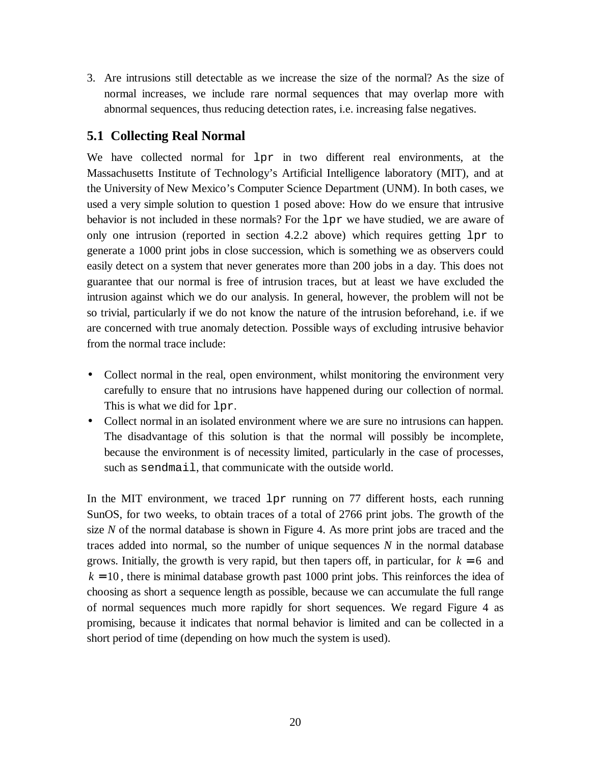3. Are intrusions still detectable as we increase the size of the normal? As the size of normal increases, we include rare normal sequences that may overlap more with abnormal sequences, thus reducing detection rates, i.e. increasing false negatives.

### **5.1 Collecting Real Normal**

We have collected normal for  $1pr$  in two different real environments, at the Massachusetts Institute of Technology's Artificial Intelligence laboratory (MIT), and at the University of New Mexico's Computer Science Department (UNM). In both cases, we used a very simple solution to question 1 posed above: How do we ensure that intrusive behavior is not included in these normals? For the lpr we have studied, we are aware of only one intrusion (reported in section  $4.2.2$  above) which requires getting  $1pr$  to generate a 1000 print jobs in close succession, which is something we as observers could easily detect on a system that never generates more than 200 jobs in a day. This does not guarantee that our normal is free of intrusion traces, but at least we have excluded the intrusion against which we do our analysis. In general, however, the problem will not be so trivial, particularly if we do not know the nature of the intrusion beforehand, i.e. if we are concerned with true anomaly detection. Possible ways of excluding intrusive behavior from the normal trace include:

- Collect normal in the real, open environment, whilst monitoring the environment very carefully to ensure that no intrusions have happened during our collection of normal. This is what we did for lpr.
- Collect normal in an isolated environment where we are sure no intrusions can happen. The disadvantage of this solution is that the normal will possibly be incomplete, because the environment is of necessity limited, particularly in the case of processes, such as sendmail, that communicate with the outside world.

In the MIT environment, we traced  $1pr$  running on 77 different hosts, each running SunOS, for two weeks, to obtain traces of a total of 2766 print jobs. The growth of the size *N* of the normal database is shown in Figure 4. As more print jobs are traced and the traces added into normal, so the number of unique sequences *N* in the normal database grows. Initially, the growth is very rapid, but then tapers off, in particular, for  $k = 6$  and  $k = 10$ , there is minimal database growth past 1000 print jobs. This reinforces the idea of choosing as short a sequence length as possible, because we can accumulate the full range of normal sequences much more rapidly for short sequences. We regard Figure 4 as promising, because it indicates that normal behavior is limited and can be collected in a short period of time (depending on how much the system is used).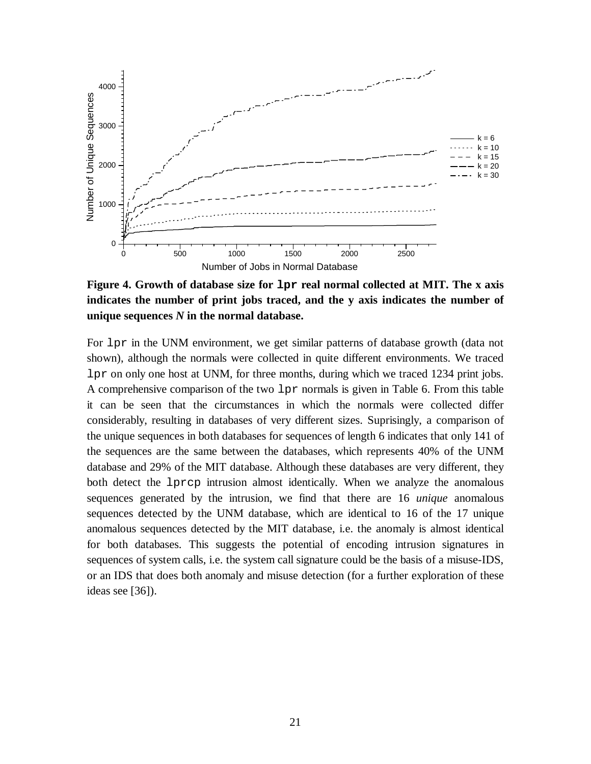

**Figure 4. Growth of database size for lpr real normal collected at MIT. The x axis indicates the number of print jobs traced, and the y axis indicates the number of unique sequences** *N* **in the normal database.**

For lpr in the UNM environment, we get similar patterns of database growth (data not shown), although the normals were collected in quite different environments. We traced lpr on only one host at UNM, for three months, during which we traced 1234 print jobs. A comprehensive comparison of the two lpr normals is given in Table 6. From this table it can be seen that the circumstances in which the normals were collected differ considerably, resulting in databases of very different sizes. Suprisingly, a comparison of the unique sequences in both databases for sequences of length 6 indicates that only 141 of the sequences are the same between the databases, which represents 40% of the UNM database and 29% of the MIT database. Although these databases are very different, they both detect the lprcp intrusion almost identically. When we analyze the anomalous sequences generated by the intrusion, we find that there are 16 *unique* anomalous sequences detected by the UNM database, which are identical to 16 of the 17 unique anomalous sequences detected by the MIT database, i.e. the anomaly is almost identical for both databases. This suggests the potential of encoding intrusion signatures in sequences of system calls, i.e. the system call signature could be the basis of a misuse-IDS, or an IDS that does both anomaly and misuse detection (for a further exploration of these ideas see [36]).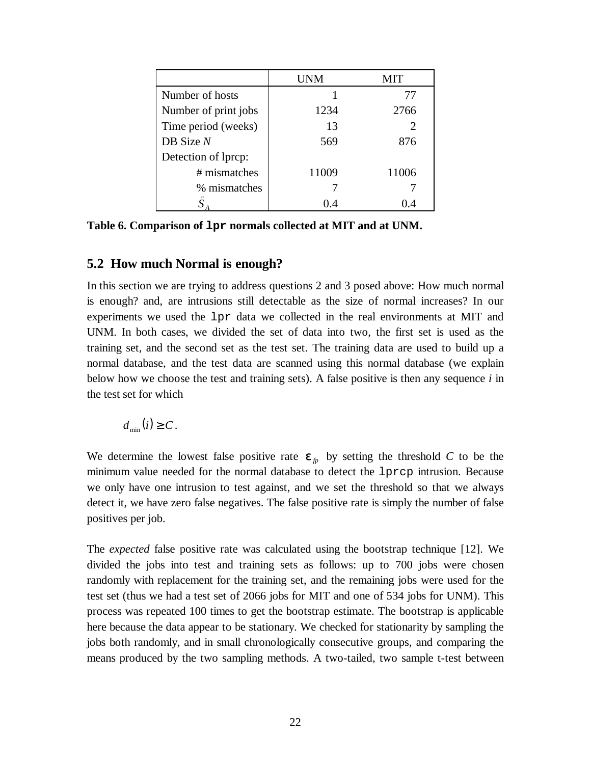|                      | UNM   | MIT   |
|----------------------|-------|-------|
| Number of hosts      |       | 77    |
| Number of print jobs | 1234  | 2766  |
| Time period (weeks)  | 13    |       |
| $DB$ Size $N$        | 569   | 876   |
| Detection of lprcp:  |       |       |
| # mismatches         | 11009 | 11006 |
| % mismatches         |       |       |
| $\mathbf C$          | 1) 4  | O 4   |

**Table 6. Comparison of lpr normals collected at MIT and at UNM.**

### **5.2 How much Normal is enough?**

In this section we are trying to address questions 2 and 3 posed above: How much normal is enough? and, are intrusions still detectable as the size of normal increases? In our experiments we used the lpr data we collected in the real environments at MIT and UNM. In both cases, we divided the set of data into two, the first set is used as the training set, and the second set as the test set. The training data are used to build up a normal database, and the test data are scanned using this normal database (we explain below how we choose the test and training sets). A false positive is then any sequence *i* in the test set for which

 $d_{\min}(i) \geq C$ .

We determine the lowest false positive rate  $\epsilon$ <sub>*fp*</sub> by setting the threshold *C* to be the minimum value needed for the normal database to detect the lprcp intrusion. Because we only have one intrusion to test against, and we set the threshold so that we always detect it, we have zero false negatives. The false positive rate is simply the number of false positives per job.

The *expected* false positive rate was calculated using the bootstrap technique [12]. We divided the jobs into test and training sets as follows: up to 700 jobs were chosen randomly with replacement for the training set, and the remaining jobs were used for the test set (thus we had a test set of 2066 jobs for MIT and one of 534 jobs for UNM). This process was repeated 100 times to get the bootstrap estimate. The bootstrap is applicable here because the data appear to be stationary. We checked for stationarity by sampling the jobs both randomly, and in small chronologically consecutive groups, and comparing the means produced by the two sampling methods. A two-tailed, two sample t-test between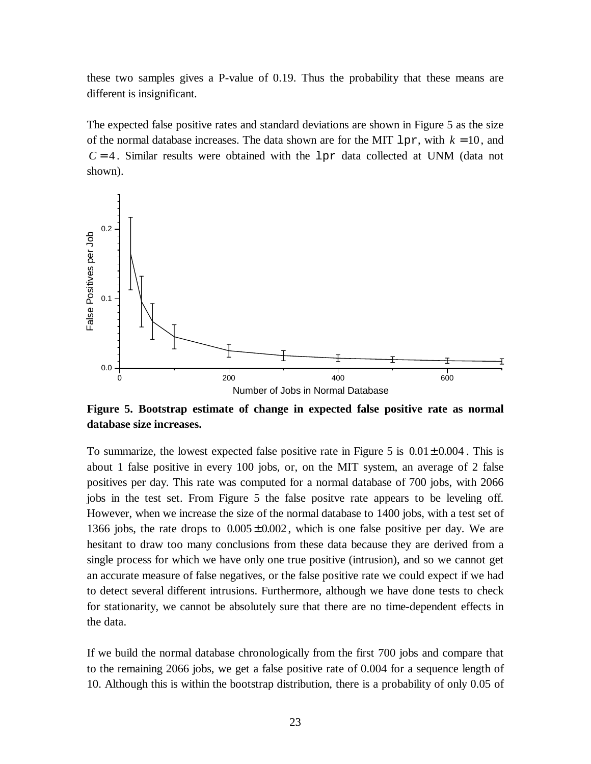these two samples gives a P-value of 0.19. Thus the probability that these means are different is insignificant.

The expected false positive rates and standard deviations are shown in Figure 5 as the size of the normal database increases. The data shown are for the MIT  $1pr$ , with  $k = 10$ , and  $C = 4$ . Similar results were obtained with the  $1pr$  data collected at UNM (data not shown).



**Figure 5. Bootstrap estimate of change in expected false positive rate as normal database size increases.**

To summarize, the lowest expected false positive rate in Figure 5 is  $0.01 \pm 0.004$ . This is about 1 false positive in every 100 jobs, or, on the MIT system, an average of 2 false positives per day. This rate was computed for a normal database of 700 jobs, with 2066 jobs in the test set. From Figure 5 the false positve rate appears to be leveling off. However, when we increase the size of the normal database to 1400 jobs, with a test set of 1366 jobs, the rate drops to  $0.005 \pm 0.002$ , which is one false positive per day. We are hesitant to draw too many conclusions from these data because they are derived from a single process for which we have only one true positive (intrusion), and so we cannot get an accurate measure of false negatives, or the false positive rate we could expect if we had to detect several different intrusions. Furthermore, although we have done tests to check for stationarity, we cannot be absolutely sure that there are no time-dependent effects in the data.

If we build the normal database chronologically from the first 700 jobs and compare that to the remaining 2066 jobs, we get a false positive rate of 0.004 for a sequence length of 10. Although this is within the bootstrap distribution, there is a probability of only 0.05 of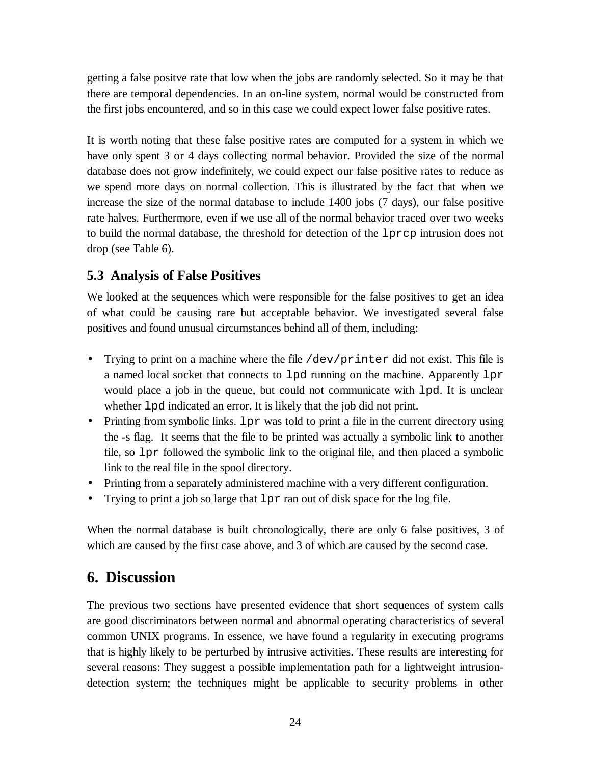getting a false positve rate that low when the jobs are randomly selected. So it may be that there are temporal dependencies. In an on-line system, normal would be constructed from the first jobs encountered, and so in this case we could expect lower false positive rates.

It is worth noting that these false positive rates are computed for a system in which we have only spent 3 or 4 days collecting normal behavior. Provided the size of the normal database does not grow indefinitely, we could expect our false positive rates to reduce as we spend more days on normal collection. This is illustrated by the fact that when we increase the size of the normal database to include 1400 jobs (7 days), our false positive rate halves. Furthermore, even if we use all of the normal behavior traced over two weeks to build the normal database, the threshold for detection of the lprcp intrusion does not drop (see Table 6).

### **5.3 Analysis of False Positives**

We looked at the sequences which were responsible for the false positives to get an idea of what could be causing rare but acceptable behavior. We investigated several false positives and found unusual circumstances behind all of them, including:

- Trying to print on a machine where the file  $/dev/printer$  did not exist. This file is a named local socket that connects to lpd running on the machine. Apparently lpr would place a job in the queue, but could not communicate with lpd. It is unclear whether lpd indicated an error. It is likely that the job did not print.
- Printing from symbolic links. 1 px was told to print a file in the current directory using the -s flag. It seems that the file to be printed was actually a symbolic link to another file, so lpr followed the symbolic link to the original file, and then placed a symbolic link to the real file in the spool directory.
- Printing from a separately administered machine with a very different configuration.
- Trying to print a job so large that  $1pr$  ran out of disk space for the log file.

When the normal database is built chronologically, there are only 6 false positives, 3 of which are caused by the first case above, and 3 of which are caused by the second case.

## **6. Discussion**

The previous two sections have presented evidence that short sequences of system calls are good discriminators between normal and abnormal operating characteristics of several common UNIX programs. In essence, we have found a regularity in executing programs that is highly likely to be perturbed by intrusive activities. These results are interesting for several reasons: They suggest a possible implementation path for a lightweight intrusiondetection system; the techniques might be applicable to security problems in other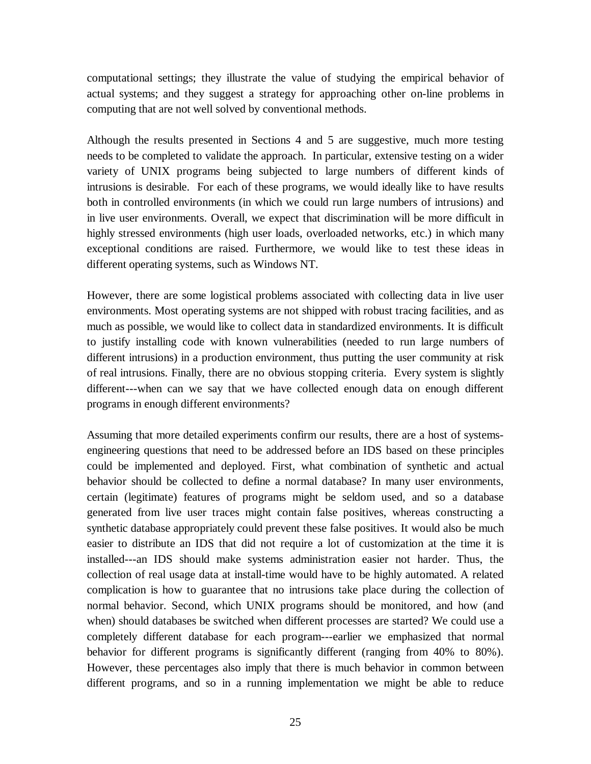computational settings; they illustrate the value of studying the empirical behavior of actual systems; and they suggest a strategy for approaching other on-line problems in computing that are not well solved by conventional methods.

Although the results presented in Sections 4 and 5 are suggestive, much more testing needs to be completed to validate the approach. In particular, extensive testing on a wider variety of UNIX programs being subjected to large numbers of different kinds of intrusions is desirable. For each of these programs, we would ideally like to have results both in controlled environments (in which we could run large numbers of intrusions) and in live user environments. Overall, we expect that discrimination will be more difficult in highly stressed environments (high user loads, overloaded networks, etc.) in which many exceptional conditions are raised. Furthermore, we would like to test these ideas in different operating systems, such as Windows NT.

However, there are some logistical problems associated with collecting data in live user environments. Most operating systems are not shipped with robust tracing facilities, and as much as possible, we would like to collect data in standardized environments. It is difficult to justify installing code with known vulnerabilities (needed to run large numbers of different intrusions) in a production environment, thus putting the user community at risk of real intrusions. Finally, there are no obvious stopping criteria. Every system is slightly different---when can we say that we have collected enough data on enough different programs in enough different environments?

Assuming that more detailed experiments confirm our results, there are a host of systemsengineering questions that need to be addressed before an IDS based on these principles could be implemented and deployed. First, what combination of synthetic and actual behavior should be collected to define a normal database? In many user environments, certain (legitimate) features of programs might be seldom used, and so a database generated from live user traces might contain false positives, whereas constructing a synthetic database appropriately could prevent these false positives. It would also be much easier to distribute an IDS that did not require a lot of customization at the time it is installed---an IDS should make systems administration easier not harder. Thus, the collection of real usage data at install-time would have to be highly automated. A related complication is how to guarantee that no intrusions take place during the collection of normal behavior. Second, which UNIX programs should be monitored, and how (and when) should databases be switched when different processes are started? We could use a completely different database for each program---earlier we emphasized that normal behavior for different programs is significantly different (ranging from 40% to 80%). However, these percentages also imply that there is much behavior in common between different programs, and so in a running implementation we might be able to reduce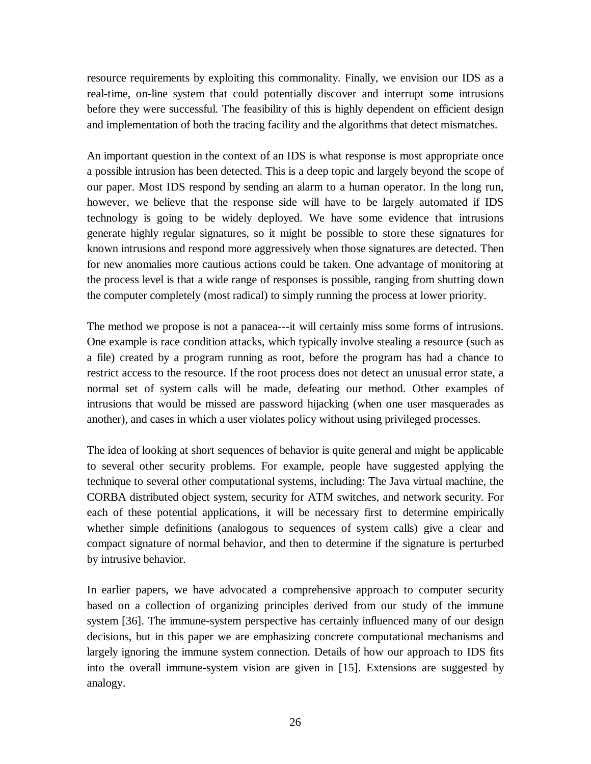resource requirements by exploiting this commonality. Finally, we envision our IDS as a real-time, on-line system that could potentially discover and interrupt some intrusions before they were successful. The feasibility of this is highly dependent on efficient design and implementation of both the tracing facility and the algorithms that detect mismatches.

An important question in the context of an IDS is what response is most appropriate once a possible intrusion has been detected. This is a deep topic and largely beyond the scope of our paper. Most IDS respond by sending an alarm to a human operator. In the long run, however, we believe that the response side will have to be largely automated if IDS technology is going to be widely deployed. We have some evidence that intrusions generate highly regular signatures, so it might be possible to store these signatures for known intrusions and respond more aggressively when those signatures are detected. Then for new anomalies more cautious actions could be taken. One advantage of monitoring at the process level is that a wide range of responses is possible, ranging from shutting down the computer completely (most radical) to simply running the process at lower priority.

The method we propose is not a panacea---it will certainly miss some forms of intrusions. One example is race condition attacks, which typically involve stealing a resource (such as a file) created by a program running as root, before the program has had a chance to restrict access to the resource. If the root process does not detect an unusual error state, a normal set of system calls will be made, defeating our method. Other examples of intrusions that would be missed are password hijacking (when one user masquerades as another), and cases in which a user violates policy without using privileged processes.

The idea of looking at short sequences of behavior is quite general and might be applicable to several other security problems. For example, people have suggested applying the technique to several other computational systems, including: The Java virtual machine, the CORBA distributed object system, security for ATM switches, and network security. For each of these potential applications, it will be necessary first to determine empirically whether simple definitions (analogous to sequences of system calls) give a clear and compact signature of normal behavior, and then to determine if the signature is perturbed by intrusive behavior.

In earlier papers, we have advocated a comprehensive approach to computer security based on a collection of organizing principles derived from our study of the immune system [36]. The immune-system perspective has certainly influenced many of our design decisions, but in this paper we are emphasizing concrete computational mechanisms and largely ignoring the immune system connection. Details of how our approach to IDS fits into the overall immune-system vision are given in [15]. Extensions are suggested by analogy.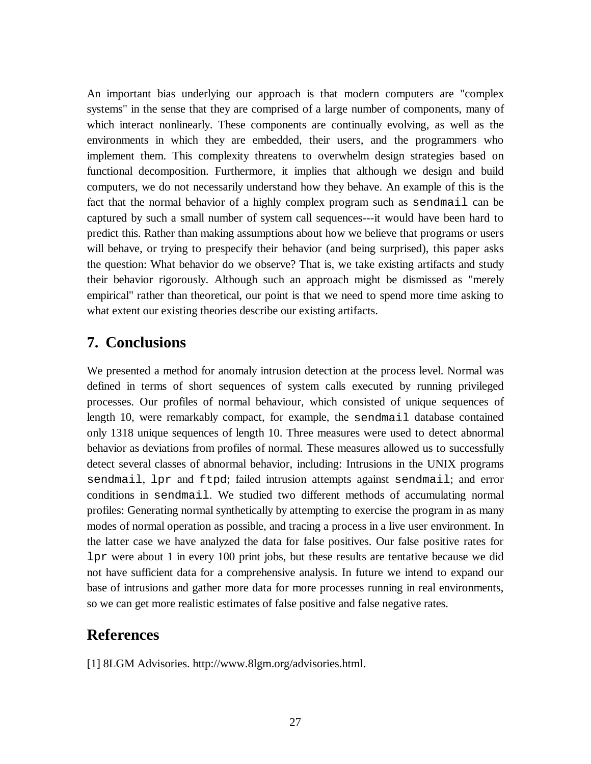An important bias underlying our approach is that modern computers are "complex systems" in the sense that they are comprised of a large number of components, many of which interact nonlinearly. These components are continually evolving, as well as the environments in which they are embedded, their users, and the programmers who implement them. This complexity threatens to overwhelm design strategies based on functional decomposition. Furthermore, it implies that although we design and build computers, we do not necessarily understand how they behave. An example of this is the fact that the normal behavior of a highly complex program such as sendmail can be captured by such a small number of system call sequences---it would have been hard to predict this. Rather than making assumptions about how we believe that programs or users will behave, or trying to prespecify their behavior (and being surprised), this paper asks the question: What behavior do we observe? That is, we take existing artifacts and study their behavior rigorously. Although such an approach might be dismissed as "merely empirical" rather than theoretical, our point is that we need to spend more time asking to what extent our existing theories describe our existing artifacts.

## **7. Conclusions**

We presented a method for anomaly intrusion detection at the process level. Normal was defined in terms of short sequences of system calls executed by running privileged processes. Our profiles of normal behaviour, which consisted of unique sequences of length 10, were remarkably compact, for example, the sendmail database contained only 1318 unique sequences of length 10. Three measures were used to detect abnormal behavior as deviations from profiles of normal. These measures allowed us to successfully detect several classes of abnormal behavior, including: Intrusions in the UNIX programs sendmail, lpr and ftpd; failed intrusion attempts against sendmail; and error conditions in sendmail. We studied two different methods of accumulating normal profiles: Generating normal synthetically by attempting to exercise the program in as many modes of normal operation as possible, and tracing a process in a live user environment. In the latter case we have analyzed the data for false positives. Our false positive rates for lpr were about 1 in every 100 print jobs, but these results are tentative because we did not have sufficient data for a comprehensive analysis. In future we intend to expand our base of intrusions and gather more data for more processes running in real environments, so we can get more realistic estimates of false positive and false negative rates.

## **References**

[1] 8LGM Advisories. http://www.8lgm.org/advisories.html.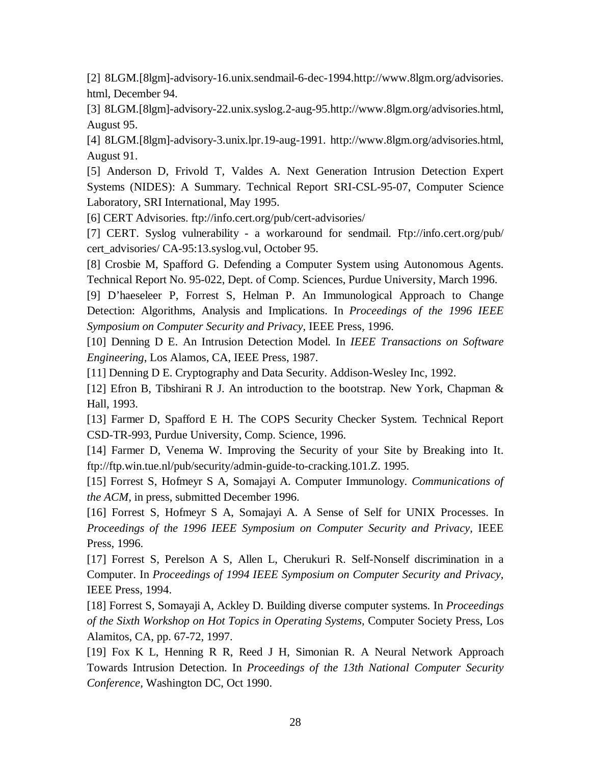[2] 8LGM.[8lgm]-advisory-16.unix.sendmail-6-dec-1994.http://www.8lgm.org/advisories. html, December 94.

[3] 8LGM.[8lgm]-advisory-22.unix.syslog.2-aug-95.http://www.8lgm.org/advisories.html, August 95.

[4] 8LGM.[8lgm]-advisory-3.unix.lpr.19-aug-1991. http://www.8lgm.org/advisories.html, August 91.

[5] Anderson D, Frivold T, Valdes A. Next Generation Intrusion Detection Expert Systems (NIDES): A Summary. Technical Report SRI-CSL-95-07, Computer Science Laboratory, SRI International, May 1995.

[6] CERT Advisories. ftp://info.cert.org/pub/cert-advisories/

[7] CERT. Syslog vulnerability - a workaround for sendmail. Ftp://info.cert.org/pub/ cert\_advisories/ CA-95:13.syslog.vul, October 95.

[8] Crosbie M, Spafford G. Defending a Computer System using Autonomous Agents. Technical Report No. 95-022, Dept. of Comp. Sciences, Purdue University, March 1996.

[9] D'haeseleer P, Forrest S, Helman P. An Immunological Approach to Change Detection: Algorithms, Analysis and Implications. In *Proceedings of the 1996 IEEE Symposium on Computer Security and Privacy*, IEEE Press, 1996.

[10] Denning D E. An Intrusion Detection Model. In *IEEE Transactions on Software Engineering*, Los Alamos, CA, IEEE Press, 1987.

[11] Denning D E. Cryptography and Data Security. Addison-Wesley Inc, 1992.

[12] Efron B, Tibshirani R J. An introduction to the bootstrap. New York, Chapman & Hall, 1993.

[13] Farmer D, Spafford E H. The COPS Security Checker System. Technical Report CSD-TR-993, Purdue University, Comp. Science, 1996.

[14] Farmer D, Venema W. Improving the Security of your Site by Breaking into It. ftp://ftp.win.tue.nl/pub/security/admin-guide-to-cracking.101.Z. 1995.

[15] Forrest S, Hofmeyr S A, Somajayi A. Computer Immunology. *Communications of the ACM*, in press, submitted December 1996.

[16] Forrest S, Hofmeyr S A, Somajayi A. A Sense of Self for UNIX Processes. In *Proceedings of the 1996 IEEE Symposium on Computer Security and Privacy*, IEEE Press, 1996.

[17] Forrest S, Perelson A S, Allen L, Cherukuri R. Self-Nonself discrimination in a Computer. In *Proceedings of 1994 IEEE Symposium on Computer Security and Privacy*, IEEE Press, 1994.

[18] Forrest S, Somayaji A, Ackley D. Building diverse computer systems. In *Proceedings of the Sixth Workshop on Hot Topics in Operating Systems*, Computer Society Press, Los Alamitos, CA, pp. 67-72, 1997.

[19] Fox K L, Henning R R, Reed J H, Simonian R. A Neural Network Approach Towards Intrusion Detection. In *Proceedings of the 13th National Computer Security Conference,* Washington DC, Oct 1990.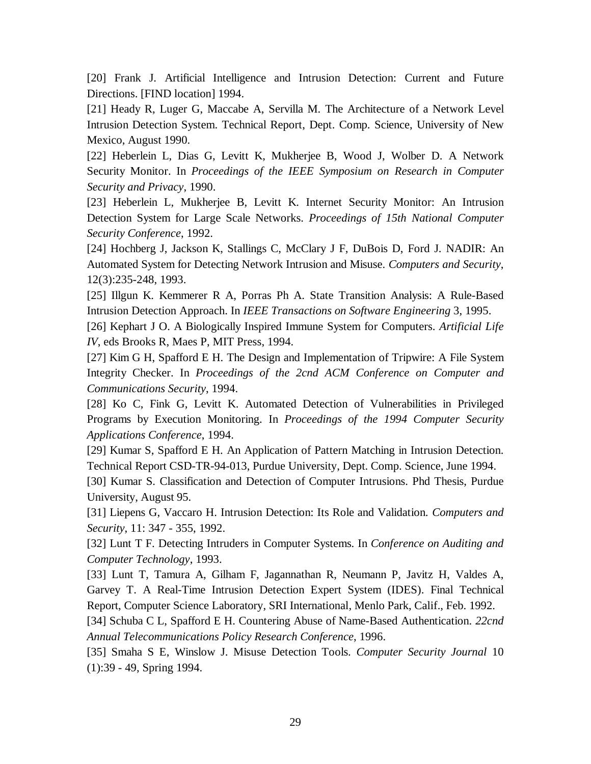[20] Frank J. Artificial Intelligence and Intrusion Detection: Current and Future Directions. [FIND location] 1994.

[21] Heady R, Luger G, Maccabe A, Servilla M. The Architecture of a Network Level Intrusion Detection System. Technical Report, Dept. Comp. Science, University of New Mexico, August 1990.

[22] Heberlein L, Dias G, Levitt K, Mukherjee B, Wood J, Wolber D. A Network Security Monitor. In *Proceedings of the IEEE Symposium on Research in Computer Security and Privacy*, 1990.

[23] Heberlein L, Mukherjee B, Levitt K. Internet Security Monitor: An Intrusion Detection System for Large Scale Networks. *Proceedings of 15th National Computer Security Conference*, 1992.

[24] Hochberg J, Jackson K, Stallings C, McClary J F, DuBois D, Ford J. NADIR: An Automated System for Detecting Network Intrusion and Misuse. *Computers and Security*, 12(3):235-248, 1993.

[25] Illgun K. Kemmerer R A, Porras Ph A. State Transition Analysis: A Rule-Based Intrusion Detection Approach. In *IEEE Transactions on Software Engineering* 3, 1995.

[26] Kephart J O. A Biologically Inspired Immune System for Computers. *Artificial Life IV*, eds Brooks R, Maes P, MIT Press, 1994.

[27] Kim G H, Spafford E H. The Design and Implementation of Tripwire: A File System Integrity Checker. In *Proceedings of the 2cnd ACM Conference on Computer and Communications Security*, 1994.

[28] Ko C, Fink G, Levitt K. Automated Detection of Vulnerabilities in Privileged Programs by Execution Monitoring. In *Proceedings of the 1994 Computer Security Applications Conference*, 1994.

[29] Kumar S, Spafford E H. An Application of Pattern Matching in Intrusion Detection. Technical Report CSD-TR-94-013, Purdue University, Dept. Comp. Science, June 1994.

[30] Kumar S. Classification and Detection of Computer Intrusions. Phd Thesis, Purdue University, August 95.

[31] Liepens G, Vaccaro H. Intrusion Detection: Its Role and Validation. *Computers and Security*, 11: 347 - 355, 1992.

[32] Lunt T F. Detecting Intruders in Computer Systems. In *Conference on Auditing and Computer Technology*, 1993.

[33] Lunt T, Tamura A, Gilham F, Jagannathan R, Neumann P, Javitz H, Valdes A, Garvey T. A Real-Time Intrusion Detection Expert System (IDES). Final Technical Report, Computer Science Laboratory, SRI International, Menlo Park, Calif., Feb. 1992.

[34] Schuba C L, Spafford E H. Countering Abuse of Name-Based Authentication. *22cnd Annual Telecommunications Policy Research Conference*, 1996.

[35] Smaha S E, Winslow J. Misuse Detection Tools. *Computer Security Journal* 10 (1):39 - 49, Spring 1994.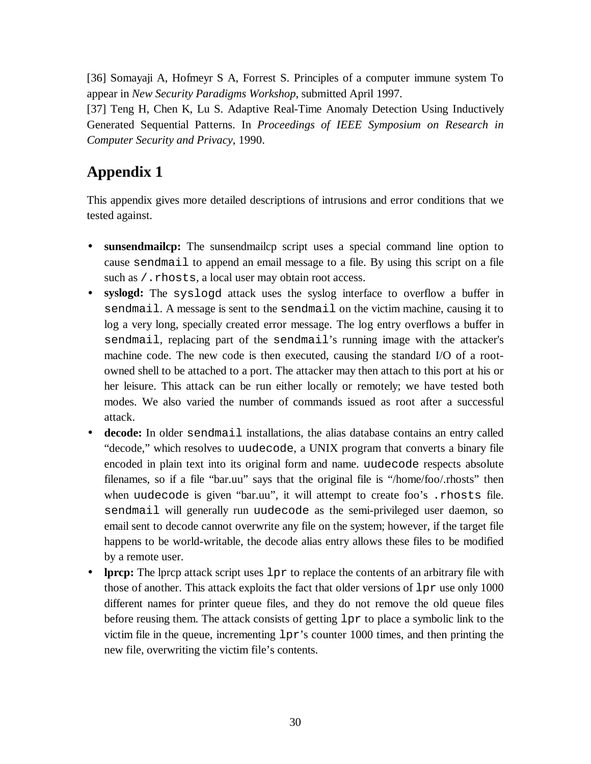[36] Somayaji A, Hofmeyr S A, Forrest S. Principles of a computer immune system To appear in *New Security Paradigms Workshop*, submitted April 1997.

[37] Teng H, Chen K, Lu S. Adaptive Real-Time Anomaly Detection Using Inductively Generated Sequential Patterns. In *Proceedings of IEEE Symposium on Research in Computer Security and Privacy*, 1990.

## **Appendix 1**

This appendix gives more detailed descriptions of intrusions and error conditions that we tested against.

- **sunsendmailcp:** The sunsendmailcp script uses a special command line option to cause sendmail to append an email message to a file. By using this script on a file such as /.rhosts, a local user may obtain root access.
- **syslogd:** The syslogd attack uses the syslog interface to overflow a buffer in sendmail. A message is sent to the sendmail on the victim machine, causing it to log a very long, specially created error message. The log entry overflows a buffer in sendmail, replacing part of the sendmail's running image with the attacker's machine code. The new code is then executed, causing the standard I/O of a rootowned shell to be attached to a port. The attacker may then attach to this port at his or her leisure. This attack can be run either locally or remotely; we have tested both modes. We also varied the number of commands issued as root after a successful attack.
- **decode:** In older sendmail installations, the alias database contains an entry called "decode," which resolves to uudecode, a UNIX program that converts a binary file encoded in plain text into its original form and name. uudecode respects absolute filenames, so if a file "bar.uu" says that the original file is "/home/foo/.rhosts" then when uudecode is given "bar.uu", it will attempt to create foo's .rhosts file. sendmail will generally run uudecode as the semi-privileged user daemon, so email sent to decode cannot overwrite any file on the system; however, if the target file happens to be world-writable, the decode alias entry allows these files to be modified by a remote user.
- **lprcp:** The lprcp attack script uses  $1pr$  to replace the contents of an arbitrary file with those of another. This attack exploits the fact that older versions of lpr use only 1000 different names for printer queue files, and they do not remove the old queue files before reusing them. The attack consists of getting  $1pr$  to place a symbolic link to the victim file in the queue, incrementing lpr's counter 1000 times, and then printing the new file, overwriting the victim file's contents.